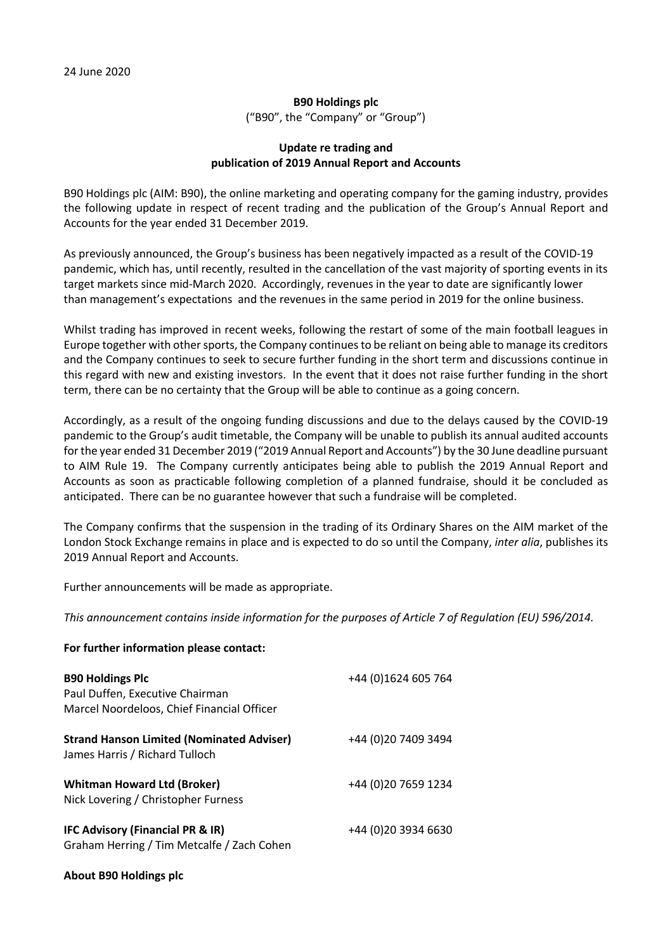## **B90 Holdings plc** ("B90", the "Company" or "Group")

## **Update re trading and publication of 2019 Annual Report and Accounts**

B90 Holdings plc (AIM: B90), the online marketing and operating company for the gaming industry, provides the following update in respect of recent trading and the publication of the Group's Annual Report and Accounts for the year ended 31 December 2019.

As previously announced, the Group's business has been negatively impacted as a result of the COVID-19 pandemic, which has, until recently, resulted in the cancellation of the vast majority of sporting events in its target markets since mid-March 2020. Accordingly, revenues in the year to date are significantly lower than management's expectations and the revenues in the same period in 2019 for the online business.

Whilst trading has improved in recent weeks, following the restart of some of the main football leagues in Europe together with other sports, the Company continues to be reliant on being able to manage its creditors and the Company continues to seek to secure further funding in the short term and discussions continue in this regard with new and existing investors. In the event that it does not raise further funding in the short term, there can be no certainty that the Group will be able to continue as a going concern.

Accordingly, as a result of the ongoing funding discussions and due to the delays caused by the COVID-19 pandemic to the Group's audit timetable, the Company will be unable to publish its annual audited accounts for the year ended 31 December 2019 ("2019 Annual Report and Accounts") by the 30 June deadline pursuant to AIM Rule 19. The Company currently anticipates being able to publish the 2019 Annual Report and Accounts as soon as practicable following completion of a planned fundraise, should it be concluded as anticipated. There can be no guarantee however that such a fundraise will be completed.

The Company confirms that the suspension in the trading of its Ordinary Shares on the AIM market of the London Stock Exchange remains in place and is expected to do so until the Company, *inter alia*, publishes its 2019 Annual Report and Accounts.

Further announcements will be made as appropriate.

*This announcement contains inside information for the purposes of Article 7 of Regulation (EU) 596/2014.*

## **For further information please contact:**

| <b>B90 Holdings Plc</b><br>Paul Duffen, Executive Chairman<br>Marcel Noordeloos, Chief Financial Officer | +44 (0) 1624 605 764 |
|----------------------------------------------------------------------------------------------------------|----------------------|
| <b>Strand Hanson Limited (Nominated Adviser)</b><br>James Harris / Richard Tulloch                       | +44 (0) 20 7409 3494 |
| <b>Whitman Howard Ltd (Broker)</b><br>Nick Lovering / Christopher Furness                                | +44 (0)20 7659 1234  |
| IFC Advisory (Financial PR & IR)<br>Graham Herring / Tim Metcalfe / Zach Cohen                           | +44 (0) 20 3934 6630 |

## **About B90 Holdings plc**